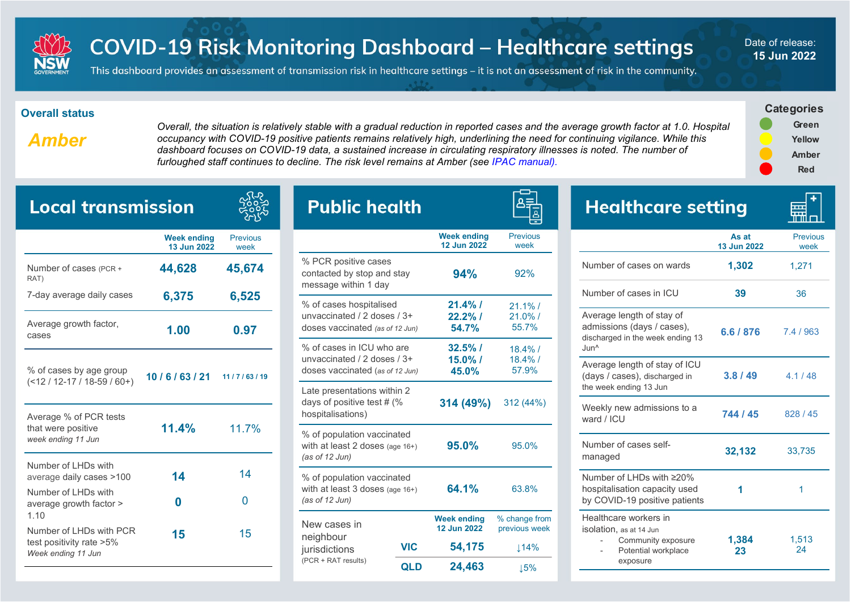

## **COVID-19 Risk Monitoring Dashboard - Healthcare settings**

Date of release: **15 Jun 2022**

This dashboard provides an assessment of transmission risk in healthcare settings – it is not an assessment of risk in the community.

## **Overall status**

*Amber*

*Overall, the situation is relatively stable with a gradual reduction in reported cases and the average growth factor at 1.0. Hospital occupancy with COVID-19 positive patients remains relatively high, underlining the need for continuing vigilance. While this dashboard focuses on COVID-19 data, a sustained increase in circulating respiratory illnesses is noted. The number of furloughed staff continues to decline. The risk level remains at Amber (see IPAC manual).* 

 $\overline{\phantom{a}}$ 



| <b>Local transmission</b>                                                 |                                   |                         |  |  |
|---------------------------------------------------------------------------|-----------------------------------|-------------------------|--|--|
|                                                                           | <b>Week ending</b><br>13 Jun 2022 | <b>Previous</b><br>week |  |  |
| Number of cases (PCR +<br>RAT)                                            | 44,628                            | 45,674                  |  |  |
| 7-day average daily cases                                                 | 6,375                             | 6,525                   |  |  |
| Average growth factor,<br>cases                                           | 1.00                              | 0.97                    |  |  |
| % of cases by age group<br>$($ < 12 / 12-17 / 18-59 / 60+)                | 10/6/63/21                        | 11/7/63/19              |  |  |
| Average % of PCR tests<br>that were positive<br>week ending 11 Jun        | 11.4%                             | 11.7%                   |  |  |
| Number of LHDs with<br>average daily cases >100                           | 14                                | 14                      |  |  |
| Number of LHDs with<br>average growth factor ><br>1.10                    | 0                                 | 0                       |  |  |
| Number of LHDs with PCR<br>test positivity rate >5%<br>Week ending 11 Jun | 15                                | 15                      |  |  |

| <b>Public health</b>                                                                        |            |                                          |                                   |
|---------------------------------------------------------------------------------------------|------------|------------------------------------------|-----------------------------------|
|                                                                                             |            | <b>Week ending</b><br><b>12 Jun 2022</b> | <b>Previous</b><br>week           |
| % PCR positive cases<br>contacted by stop and stay<br>message within 1 day                  |            | 94%                                      | 92%                               |
| % of cases hospitalised<br>unvaccinated / 2 doses / 3+<br>doses vaccinated (as of 12 Jun)   |            | $21.4%$ /<br>$22.2%$ /<br>54.7%          | $21.1\%$ /<br>$21.0\%$ /<br>55.7% |
| % of cases in ICU who are<br>unvaccinated / 2 doses / 3+<br>doses vaccinated (as of 12 Jun) |            | $32.5\%$ /<br>$15.0\%$ /<br>45.0%        | $18.4\%$ /<br>$18.4\%$ /<br>57.9% |
| Late presentations within 2<br>days of positive test # (%<br>hospitalisations)              |            | 314 (49%)                                | 312 (44%)                         |
| % of population vaccinated<br>with at least 2 doses (age $16+$ )<br>(as of $12$ Jun)        |            | 95.0%                                    | 95.0%                             |
| % of population vaccinated<br>with at least $3$ doses (age $16+$ )<br>(as of $12$ Jun)      |            | 64.1%                                    | 63.8%                             |
| New cases in                                                                                |            | <b>Week ending</b><br>12 Jun 2022        | % change from<br>previous week    |
| neighbour<br>jurisdictions<br>(PCR + RAT results)                                           | <b>VIC</b> | 54,175                                   | 114%                              |
|                                                                                             | <b>QLD</b> | 24,463                                   | 15%                               |

| <b>Healthcare setting</b>                                                                                       |                      |                         |
|-----------------------------------------------------------------------------------------------------------------|----------------------|-------------------------|
|                                                                                                                 | As at<br>13 Jun 2022 | <b>Previous</b><br>week |
| Number of cases on wards                                                                                        | 1,302                | 1,271                   |
| Number of cases in ICU                                                                                          | 39                   | 36                      |
| Average length of stay of<br>admissions (days / cases),<br>discharged in the week ending 13<br>Jun <sup>^</sup> | 6.6 / 876            | 7.4 / 963               |
| Average length of stay of ICU<br>(days / cases), discharged in<br>the week ending 13 Jun                        | 3.8/49               | 4.1/48                  |
| Weekly new admissions to a<br>ward / ICU                                                                        | 744 / 45             | 828/45                  |
| Number of cases self-<br>managed                                                                                | 32,132               | 33,735                  |
| Number of I HDs with ≥20%<br>hospitalisation capacity used<br>by COVID-19 positive patients                     | 1                    | 1                       |
| Healthcare workers in<br>isolation, as at 14 Jun<br>Community exposure<br>Potential workplace<br>exposure       | 1,384<br>23          | 1,513<br>24             |